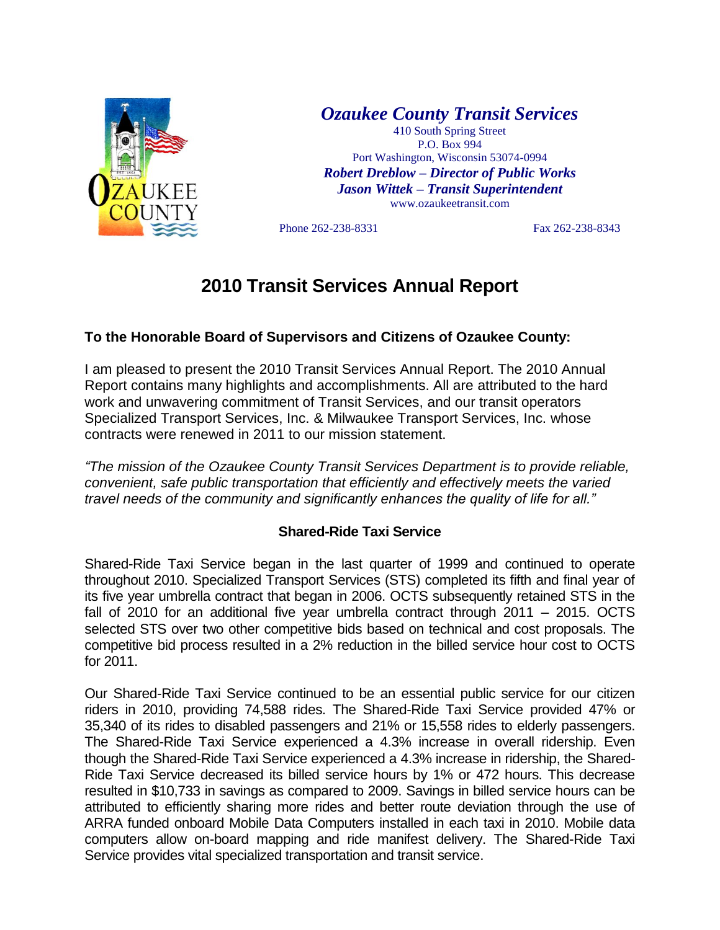

*Ozaukee County Transit Services*

410 South Spring Street P.O. Box 994 Port Washington, Wisconsin 53074-0994 *Robert Dreblow – Director of Public Works Jason Wittek – Transit Superintendent* www.ozaukeetransit.com

Phone 262-238-8331 Fax 262-238-8343

# **2010 Transit Services Annual Report**

# **To the Honorable Board of Supervisors and Citizens of Ozaukee County:**

I am pleased to present the 2010 Transit Services Annual Report. The 2010 Annual Report contains many highlights and accomplishments. All are attributed to the hard work and unwavering commitment of Transit Services, and our transit operators Specialized Transport Services, Inc. & Milwaukee Transport Services, Inc. whose contracts were renewed in 2011 to our mission statement.

*"The mission of the Ozaukee County Transit Services Department is to provide reliable, convenient, safe public transportation that efficiently and effectively meets the varied travel needs of the community and significantly enhances the quality of life for all."*

## **Shared-Ride Taxi Service**

Shared-Ride Taxi Service began in the last quarter of 1999 and continued to operate throughout 2010. Specialized Transport Services (STS) completed its fifth and final year of its five year umbrella contract that began in 2006. OCTS subsequently retained STS in the fall of 2010 for an additional five year umbrella contract through 2011 – 2015. OCTS selected STS over two other competitive bids based on technical and cost proposals. The competitive bid process resulted in a 2% reduction in the billed service hour cost to OCTS for 2011.

Our Shared-Ride Taxi Service continued to be an essential public service for our citizen riders in 2010, providing 74,588 rides. The Shared-Ride Taxi Service provided 47% or 35,340 of its rides to disabled passengers and 21% or 15,558 rides to elderly passengers. The Shared-Ride Taxi Service experienced a 4.3% increase in overall ridership. Even though the Shared-Ride Taxi Service experienced a 4.3% increase in ridership, the Shared-Ride Taxi Service decreased its billed service hours by 1% or 472 hours. This decrease resulted in \$10,733 in savings as compared to 2009. Savings in billed service hours can be attributed to efficiently sharing more rides and better route deviation through the use of ARRA funded onboard Mobile Data Computers installed in each taxi in 2010. Mobile data computers allow on-board mapping and ride manifest delivery. The Shared-Ride Taxi Service provides vital specialized transportation and transit service.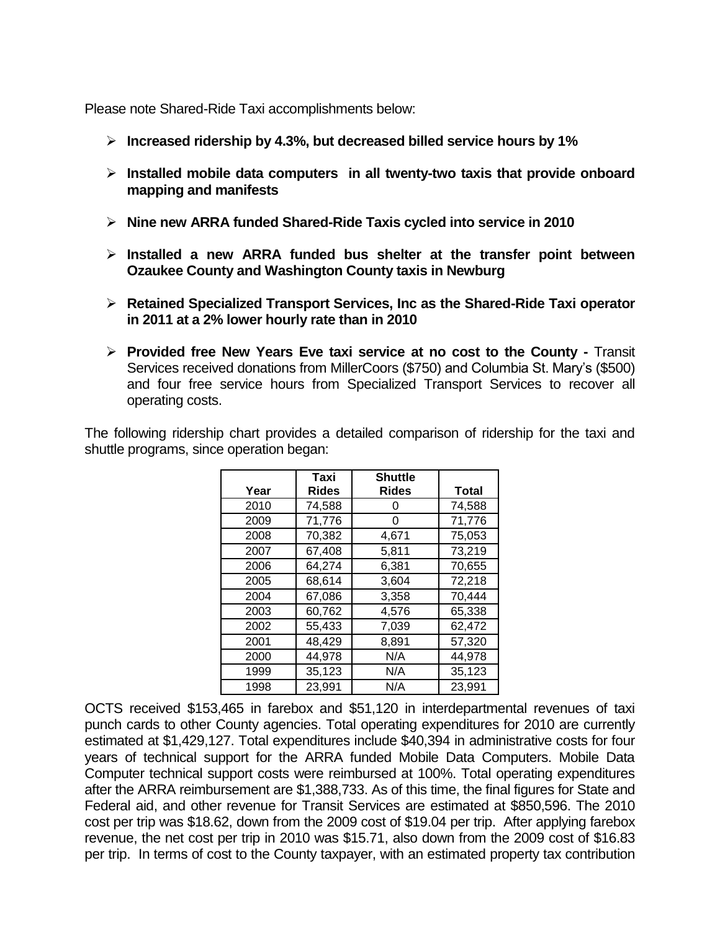Please note Shared-Ride Taxi accomplishments below:

- **Increased ridership by 4.3%, but decreased billed service hours by 1%**
- **Installed mobile data computers in all twenty-two taxis that provide onboard mapping and manifests**
- **Nine new ARRA funded Shared-Ride Taxis cycled into service in 2010**
- **Installed a new ARRA funded bus shelter at the transfer point between Ozaukee County and Washington County taxis in Newburg**
- **Retained Specialized Transport Services, Inc as the Shared-Ride Taxi operator in 2011 at a 2% lower hourly rate than in 2010**
- **Provided free New Years Eve taxi service at no cost to the County -** Transit Services received donations from MillerCoors (\$750) and Columbia St. Mary's (\$500) and four free service hours from Specialized Transport Services to recover all operating costs.

The following ridership chart provides a detailed comparison of ridership for the taxi and shuttle programs, since operation began:

|      | Taxi         | <b>Shuttle</b> |              |
|------|--------------|----------------|--------------|
| Year | <b>Rides</b> | <b>Rides</b>   | <b>Total</b> |
| 2010 | 74,588       | O              | 74,588       |
| 2009 | 71,776       | O              | 71,776       |
| 2008 | 70,382       | 4,671          | 75,053       |
| 2007 | 67,408       | 5,811          | 73,219       |
| 2006 | 64,274       | 6,381          | 70,655       |
| 2005 | 68,614       | 3,604          | 72,218       |
| 2004 | 67,086       | 3,358          | 70,444       |
| 2003 | 60,762       | 4.576          | 65,338       |
| 2002 | 55,433       | 7,039          | 62,472       |
| 2001 | 48,429       | 8,891          | 57,320       |
| 2000 | 44,978       | N/A            | 44,978       |
| 1999 | 35,123       | N/A            | 35,123       |
| 1998 | 23,991       | N/A            | 23,991       |

OCTS received \$153,465 in farebox and \$51,120 in interdepartmental revenues of taxi punch cards to other County agencies. Total operating expenditures for 2010 are currently estimated at \$1,429,127. Total expenditures include \$40,394 in administrative costs for four years of technical support for the ARRA funded Mobile Data Computers. Mobile Data Computer technical support costs were reimbursed at 100%. Total operating expenditures after the ARRA reimbursement are \$1,388,733. As of this time, the final figures for State and Federal aid, and other revenue for Transit Services are estimated at \$850,596. The 2010 cost per trip was \$18.62, down from the 2009 cost of \$19.04 per trip. After applying farebox revenue, the net cost per trip in 2010 was \$15.71, also down from the 2009 cost of \$16.83 per trip. In terms of cost to the County taxpayer, with an estimated property tax contribution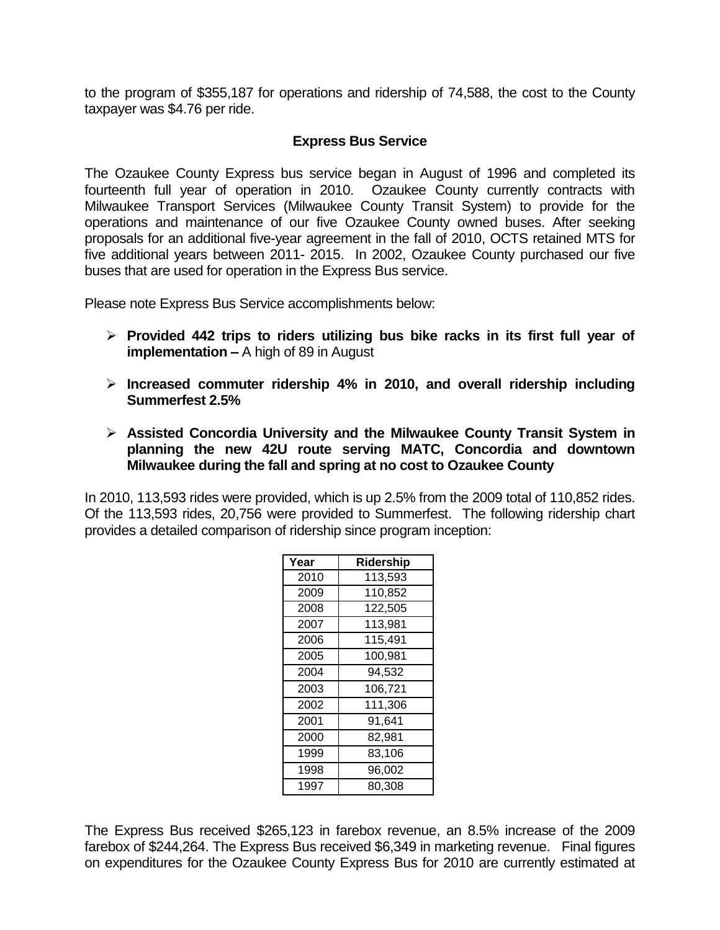to the program of \$355,187 for operations and ridership of 74,588, the cost to the County taxpayer was \$4.76 per ride.

### **Express Bus Service**

The Ozaukee County Express bus service began in August of 1996 and completed its fourteenth full year of operation in 2010. Ozaukee County currently contracts with Milwaukee Transport Services (Milwaukee County Transit System) to provide for the operations and maintenance of our five Ozaukee County owned buses. After seeking proposals for an additional five-year agreement in the fall of 2010, OCTS retained MTS for five additional years between 2011- 2015. In 2002, Ozaukee County purchased our five buses that are used for operation in the Express Bus service.

Please note Express Bus Service accomplishments below:

- **Provided 442 trips to riders utilizing bus bike racks in its first full year of implementation –** A high of 89 in August
- **Increased commuter ridership 4% in 2010, and overall ridership including Summerfest 2.5%**
- **Assisted Concordia University and the Milwaukee County Transit System in planning the new 42U route serving MATC, Concordia and downtown Milwaukee during the fall and spring at no cost to Ozaukee County**

In 2010, 113,593 rides were provided, which is up 2.5% from the 2009 total of 110,852 rides. Of the 113,593 rides, 20,756 were provided to Summerfest. The following ridership chart provides a detailed comparison of ridership since program inception:

| Year | Ridership |
|------|-----------|
| 2010 | 113,593   |
| 2009 | 110,852   |
| 2008 | 122,505   |
| 2007 | 113,981   |
| 2006 | 115,491   |
| 2005 | 100,981   |
| 2004 | 94,532    |
| 2003 | 106,721   |
| 2002 | 111,306   |
| 2001 | 91,641    |
| 2000 | 82,981    |
| 1999 | 83,106    |
| 1998 | 96,002    |
| 1997 | 80.308    |

The Express Bus received \$265,123 in farebox revenue, an 8.5% increase of the 2009 farebox of \$244,264. The Express Bus received \$6,349 in marketing revenue. Final figures on expenditures for the Ozaukee County Express Bus for 2010 are currently estimated at